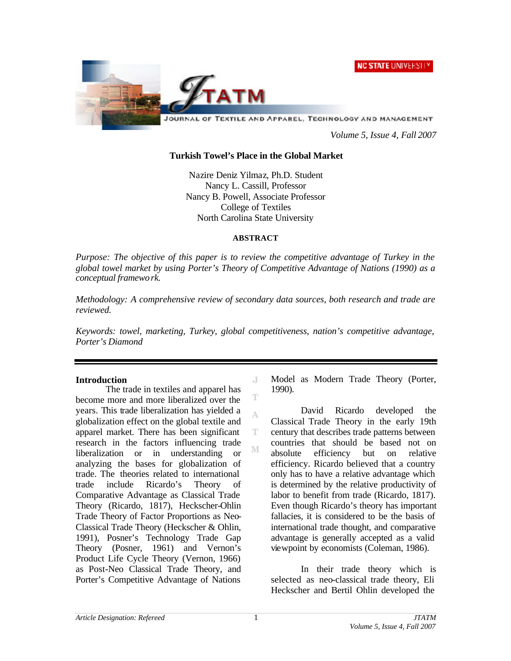**NC STATE UNIVERSITY** 



JOURNAL OF TEXTILE AND APPAREL, TECHNOLOGY AND MANAGEMENT

*Volume 5, Issue 4, Fall 2007*

#### **Turkish Towel's Place in the Global Market**

Nazire Deniz Yilmaz, Ph.D. Student Nancy L. Cassill, Professor Nancy B. Powell, Associate Professor College of Textiles North Carolina State University

#### **ABSTRACT**

*Purpose: The objective of this paper is to review the competitive advantage of Turkey in the global towel market by using Porter's Theory of Competitive Advantage of Nations (1990) as a conceptual framework.* 

*Methodology: A comprehensive review of secondary data sources, both research and trade are reviewed.* 

*Keywords: towel, marketing, Turkey, global competitiveness, nation's competitive advantage, Porter's Diamond*

J

Ŧ

A

T M

#### **Introduction**

The trade in textiles and apparel has become more and more liberalized over the years. This trade liberalization has yielded a globalization effect on the global textile and apparel market. There has been significant research in the factors influencing trade liberalization or in understanding or analyzing the bases for globalization of trade. The theories related to international trade include Ricardo's Theory of Comparative Advantage as Classical Trade Theory (Ricardo, 1817), Heckscher-Ohlin Trade Theory of Factor Proportions as Neo-Classical Trade Theory (Heckscher & Ohlin, 1991), Posner's Technology Trade Gap Theory (Posner, 1961) and Vernon's Product Life Cycle Theory (Vernon, 1966) as Post-Neo Classical Trade Theory, and Porter's Competitive Advantage of Nations

Model as Modern Trade Theory (Porter, 1990).

David Ricardo developed the Classical Trade Theory in the early 19th century that describes trade patterns between countries that should be based not on absolute efficiency but on relative efficiency. Ricardo believed that a country only has to have a relative advantage which is determined by the relative productivity of labor to benefit from trade (Ricardo, 1817). Even though Ricardo's theory has important fallacies, it is considered to be the basis of international trade thought, and comparative advantage is generally accepted as a valid viewpoint by economists (Coleman, 1986).

In their trade theory which is selected as neo-classical trade theory, Eli Heckscher and Bertil Ohlin developed the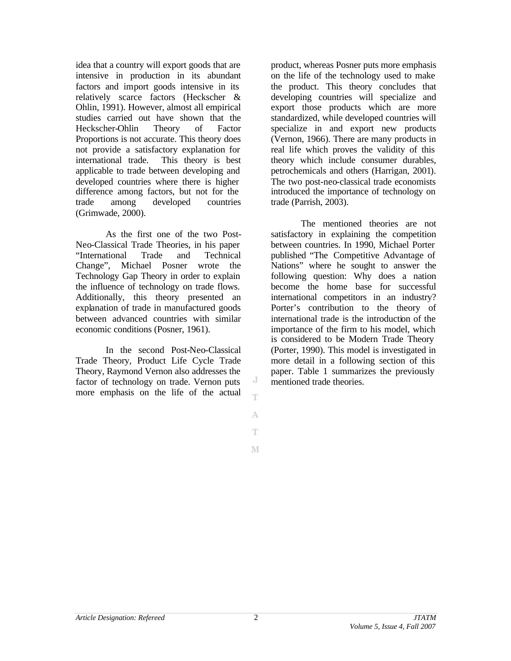idea that a country will export goods that are intensive in production in its abundant factors and import goods intensive in its relatively scarce factors (Heckscher & Ohlin, 1991). However, almost all empirical studies carried out have shown that the Heckscher-Ohlin Theory of Factor Proportions is not accurate. This theory does not provide a satisfactory explanation for international trade. This theory is best applicable to trade between developing and developed countries where there is higher difference among factors, but not for the trade among developed countries (Grimwade, 2000).

As the first one of the two Post-Neo-Classical Trade Theories, in his paper "International Trade and Technical Change", Michael Posner wrote the Technology Gap Theory in order to explain the influence of technology on trade flows. Additionally, this theory presented an explanation of trade in manufactured goods between advanced countries with similar economic conditions (Posner, 1961).

In the second Post-Neo-Classical Trade Theory, Product Life Cycle Trade Theory, Raymond Vernon also addresses the factor of technology on trade. Vernon puts more emphasis on the life of the actual product, whereas Posner puts more emphasis on the life of the technology used to make the product. This theory concludes that developing countries will specialize and export those products which are more standardized, while developed countries will specialize in and export new products (Vernon, 1966). There are many products in real life which proves the validity of this theory which include consumer durables, petrochemicals and others (Harrigan, 2001). The two post-neo-classical trade economists introduced the importance of technology on trade (Parrish, 2003).

The mentioned theories are not satisfactory in explaining the competition between countries. In 1990, Michael Porter published "The Competitive Advantage of Nations" where he sought to answer the following question: Why does a nation become the home base for successful international competitors in an industry? Porter's contribution to the theory of international trade is the introduction of the importance of the firm to his model, which is considered to be Modern Trade Theory (Porter, 1990). This model is investigated in more detail in a following section of this paper. Table 1 summarizes the previously mentioned trade theories.

J T

A Ŧ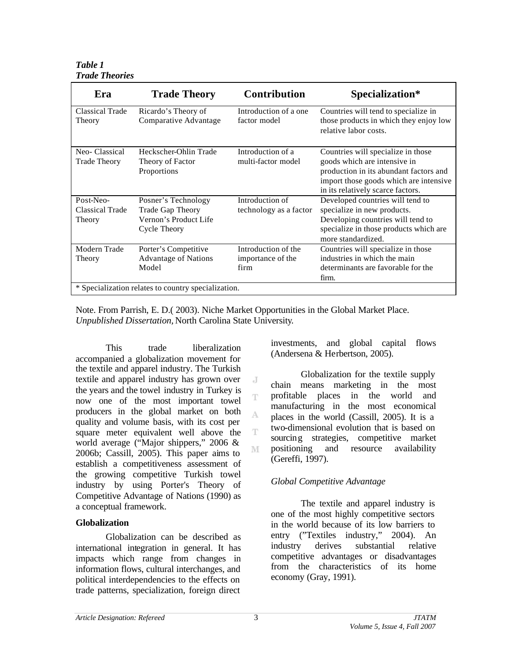#### *Table 1 Trade Theories*

| Era                                    | <b>Trade Theory</b>                                                              | <b>Contribution</b>                              | Specialization*                                                                                                                                                                              |
|----------------------------------------|----------------------------------------------------------------------------------|--------------------------------------------------|----------------------------------------------------------------------------------------------------------------------------------------------------------------------------------------------|
| Classical Trade<br>Theory              | Ricardo's Theory of<br>Comparative Advantage                                     | Introduction of a one<br>factor model            | Countries will tend to specialize in<br>those products in which they enjoy low<br>relative labor costs.                                                                                      |
| Neo-Classical<br><b>Trade Theory</b>   | Heckscher-Ohlin Trade<br>Theory of Factor<br>Proportions                         | Introduction of a<br>multi-factor model          | Countries will specialize in those<br>goods which are intensive in<br>production in its abundant factors and<br>import those goods which are intensive.<br>in its relatively scarce factors. |
| Post-Neo-<br>Classical Trade<br>Theory | Posner's Technology<br>Trade Gap Theory<br>Vernon's Product Life<br>Cycle Theory | Introduction of<br>technology as a factor        | Developed countries will tend to<br>specialize in new products.<br>Developing countries will tend to<br>specialize in those products which are<br>more standardized.                         |
| Modern Trade<br>Theory                 | Porter's Competitive<br><b>Advantage of Nations</b><br>Model                     | Introduction of the<br>importance of the<br>firm | Countries will specialize in those<br>industries in which the main<br>determinants are favorable for the<br>firm.                                                                            |
|                                        | * Specialization relates to country specialization.                              |                                                  |                                                                                                                                                                                              |

Note. From Parrish, E. D.( 2003). Niche Market Opportunities in the Global Market Place. *Unpublished Dissertation,* North Carolina State University*.*

J Ŧ

A

T

M

This trade liberalization accompanied a globalization movement for the textile and apparel industry. The Turkish textile and apparel industry has grown over the years and the towel industry in Turkey is now one of the most important towel producers in the global market on both quality and volume basis, with its cost per square meter equivalent well above the world average ("Major shippers," 2006 & 2006b; Cassill, 2005). This paper aims to establish a competitiveness assessment of the growing competitive Turkish towel industry by using Porter's Theory of Competitive Advantage of Nations (1990) as a conceptual framework.

# **Globalization**

Globalization can be described as international integration in general. It has impacts which range from changes in information flows, cultural interchanges, and political interdependencies to the effects on trade patterns, specialization, foreign direct

investments, and global capital flows (Andersena & Herbertson, 2005).

Globalization for the textile supply chain means marketing in the most profitable places in the world and manufacturing in the most economical places in the world (Cassill, 2005). It is a two-dimensional evolution that is based on sourcing strategies, competitive market positioning and resource availability (Gereffi, 1997).

# *Global Competitive Advantage*

The textile and apparel industry is one of the most highly competitive sectors in the world because of its low barriers to entry ("Textiles industry," 2004). An industry derives substantial relative competitive advantages or disadvantages from the characteristics of its home economy (Gray, 1991).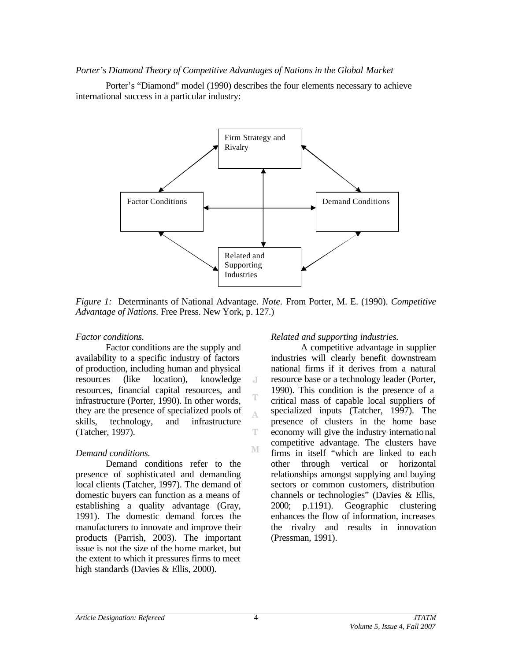#### *Porter's Diamond Theory of Competitive Advantages of Nations in the Global Market*

Porter's "Diamond" model (1990) describes the four elements necessary to achieve international success in a particular industry:



*Figure 1:* Determinants of National Advantage. *Note.* From Porter, M. E. (1990). *Competitive Advantage of Nations.* Free Press. New York, p. 127.)

J

A

T

M

#### *Factor conditions.*

Factor conditions are the supply and availability to a specific industry of factors of production, including human and physical resources (like location), knowledge resources, financial capital resources, and infrastructure (Porter, 1990). In other words, they are the presence of specialized pools of skills, technology, and infrastructure (Tatcher, 1997).

### *Demand conditions.*

Demand conditions refer to the presence of sophisticated and demanding local clients (Tatcher, 1997). The demand of domestic buyers can function as a means of establishing a quality advantage (Gray, 1991). The domestic demand forces the manufacturers to innovate and improve their products (Parrish, 2003). The important issue is not the size of the home market, but the extent to which it pressures firms to meet high standards (Davies & Ellis, 2000).

#### *Related and supporting industries.*

A competitive advantage in supplier industries will clearly benefit downstream national firms if it derives from a natural resource base or a technology leader (Porter, 1990). This condition is the presence of a critical mass of capable local suppliers of specialized inputs (Tatcher, 1997). The presence of clusters in the home base economy will give the industry international competitive advantage. The clusters have firms in itself "which are linked to each other through vertical or horizontal relationships amongst supplying and buying sectors or common customers, distribution channels or technologies" (Davies & Ellis, 2000; p.1191). Geographic clustering enhances the flow of information, increases the rivalry and results in innovation (Pressman, 1991).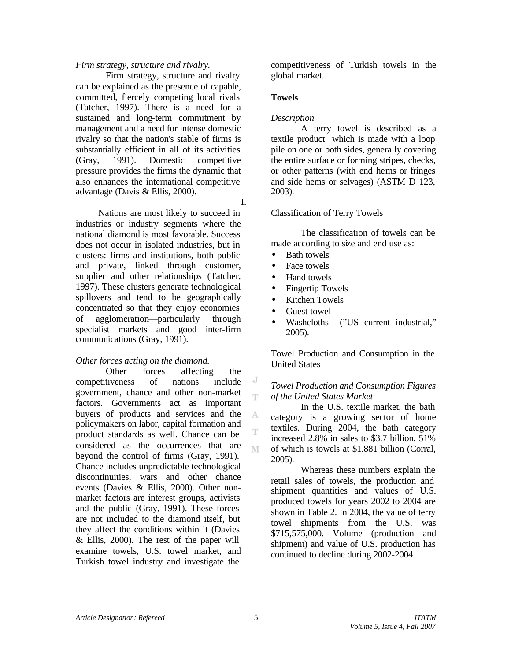#### *Firm strategy, structure and rivalry.*

Firm strategy, structure and rivalry can be explained as the presence of capable, committed, fiercely competing local rivals (Tatcher, 1997). There is a need for a sustained and long-term commitment by management and a need for intense domestic rivalry so that the nation's stable of firms is substantially efficient in all of its activities (Gray, 1991). Domestic competitive pressure provides the firms the dynamic that also enhances the international competitive advantage (Davis & Ellis, 2000).

I.

Nations are most likely to succeed in industries or industry segments where the national diamond is most favorable. Success does not occur in isolated industries, but in clusters: firms and institutions, both public and private, linked through customer, supplier and other relationships (Tatcher, 1997). These clusters generate technological spillovers and tend to be geographically concentrated so that they enjoy economies of agglomeration—particularly through specialist markets and good inter-firm communications (Gray, 1991).

#### *Other forces acting on the diamond.*

Other forces affecting the competitiveness of nations include government, chance and other non-market factors. Governments act as important buyers of products and services and the policymakers on labor, capital formation and product standards as well. Chance can be considered as the occurrences that are beyond the control of firms (Gray, 1991). Chance includes unpredictable technological discontinuities, wars and other chance events (Davies & Ellis, 2000). Other nonmarket factors are interest groups, activists and the public (Gray, 1991). These forces are not included to the diamond itself, but they affect the conditions within it (Davies & Ellis, 2000). The rest of the paper will examine towels, U.S. towel market, and Turkish towel industry and investigate the

competitiveness of Turkish towels in the global market.

#### **Towels**

#### *Description*

A terry towel is described as a textile product which is made with a loop pile on one or both sides, generally covering the entire surface or forming stripes, checks, or other patterns (with end hems or fringes and side hems or selvages) (ASTM D 123, 2003).

#### Classification of Terry Towels

The classification of towels can be made according to size and end use as:

- Bath towels
- Face towels
- Hand towels
- Fingertip Towels
- Kitchen Towels
- Guest towel
- Washcloths ("US current industrial," 2005).

Towel Production and Consumption in the United States

#### *Towel Production and Consumption Figures of the United States Market*

In the U.S. textile market, the bath category is a growing sector of home textiles. During 2004, the bath category increased 2.8% in sales to \$3.7 billion, 51% of which is towels at \$1.881 billion (Corral, 2005).

Whereas these numbers explain the retail sales of towels, the production and shipment quantities and values of U.S. produced towels for years 2002 to 2004 are shown in Table 2. In 2004, the value of terry towel shipments from the U.S. was \$715,575,000. Volume (production and shipment) and value of U.S. production has continued to decline during 2002-2004.

J Ŧ

A Ŧ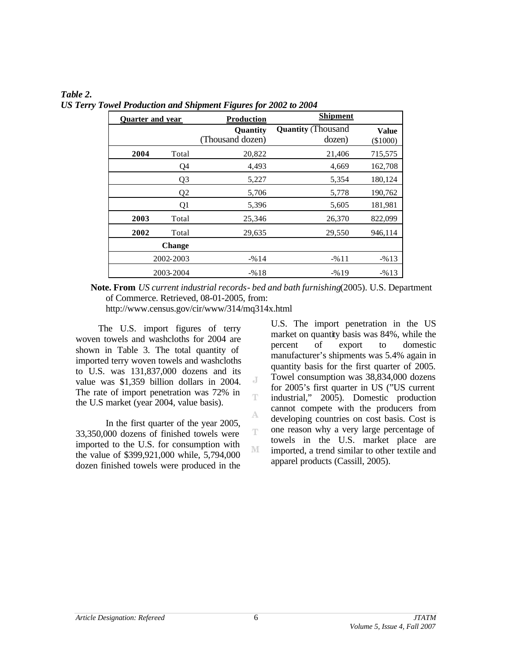| <b>Quarter and year</b> | <b>Production</b> |                              | <b>Shipment</b>                     |                          |
|-------------------------|-------------------|------------------------------|-------------------------------------|--------------------------|
|                         |                   | Quantity<br>(Thousand dozen) | <b>Quantity (Thousand</b><br>dozen) | <b>Value</b><br>(\$1000) |
| 2004                    | Total             | 20,822                       | 21,406                              | 715,575                  |
|                         | Q4                | 4,493                        | 4,669                               | 162,708                  |
|                         | Q <sub>3</sub>    | 5,227                        | 5,354                               | 180,124                  |
|                         | Q <sub>2</sub>    | 5,706                        | 5,778                               | 190,762                  |
|                         | Q1                | 5,396                        | 5,605                               | 181,981                  |
| 2003                    | Total             | 25,346                       | 26,370                              | 822,099                  |
| 2002                    | Total             | 29,635                       | 29,550                              | 946,114                  |
|                         | <b>Change</b>     |                              |                                     |                          |
|                         | 2002-2003         | $-%14$                       | $-9611$                             | $-%13$                   |
|                         | 2003-2004         | $-%18$                       | $-%19$                              | $-%13$                   |

*Table 2. US Terry Towel Production and Shipment Figures for 2002 to 2004* 

**Note. From** *US current industrial records- bed and bath furnishing*(2005). U.S. Department of Commerce. Retrieved, 08-01-2005, from:

> J Ŧ

> A

T

M

http://www.census.gov/cir/www/314/mq314x.html

The U.S. import figures of terry woven towels and washcloths for 2004 are shown in Table 3. The total quantity of imported terry woven towels and washcloths to U.S. was 131,837,000 dozens and its value was \$1,359 billion dollars in 2004. The rate of import penetration was 72% in the U.S market (year 2004, value basis).

In the first quarter of the year 2005, 33,350,000 dozens of finished towels were imported to the U.S. for consumption with the value of \$399,921,000 while, 5,794,000 dozen finished towels were produced in the U.S. The import penetration in the US market on quantity basis was 84%, while the percent of export to domestic manufacturer's shipments was 5.4% again in quantity basis for the first quarter of 2005. Towel consumption was 38,834,000 dozens for 2005's first quarter in US ("US current industrial," 2005). Domestic production cannot compete with the producers from developing countries on cost basis. Cost is one reason why a very large percentage of towels in the U.S. market place are imported, a trend similar to other textile and apparel products (Cassill, 2005).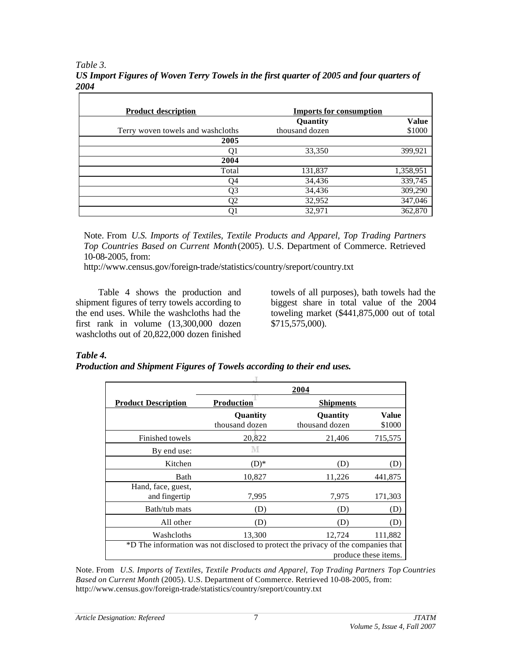*Table 3. US Import Figures of Woven Terry Towels in the first quarter of 2005 and four quarters of 2004* 

| <b>Product description</b>        | <b>Imports for consumption</b> |              |
|-----------------------------------|--------------------------------|--------------|
|                                   | Quantity                       | <b>Value</b> |
| Terry woven towels and washcloths | thousand dozen                 | \$1000       |
| 2005                              |                                |              |
| O1                                | 33,350                         | 399,921      |
| 2004                              |                                |              |
| Total                             | 131,837                        | 1,358,951    |
| Q4                                | 34,436                         | 339,745      |
| Q3                                | 34,436                         | 309,290      |
| Q2                                | 32,952                         | 347,046      |
| Q1                                | 32,971                         | 362,870      |

Note. From *U.S. Imports of Textiles, Textile Products and Apparel, Top Trading Partners Top Countries Based on Current Month*(2005). U.S. Department of Commerce. Retrieved 10-08-2005, from:

http://www.census.gov/foreign-trade/statistics/country/sreport/country.txt

Table 4 shows the production and shipment figures of terry towels according to the end uses. While the washcloths had the first rank in volume (13,300,000 dozen washcloths out of 20,822,000 dozen finished towels of all purposes), bath towels had the biggest share in total value of the 2004 toweling market (\$441,875,000 out of total \$715,575,000).

### *Table 4.*

#### *Production and Shipment Figures of Towels according to their end uses.*

|                                                                                   |                                       | 2004                              |                 |  |  |
|-----------------------------------------------------------------------------------|---------------------------------------|-----------------------------------|-----------------|--|--|
| <b>Product Description</b>                                                        | <b>Production</b><br><b>Shipments</b> |                                   |                 |  |  |
|                                                                                   | <b>Quantity</b><br>thousand dozen     | <b>Quantity</b><br>thousand dozen | Value<br>\$1000 |  |  |
| Finished towels                                                                   | 20,822                                | 21,406                            | 715,575         |  |  |
| By end use:                                                                       |                                       |                                   |                 |  |  |
| Kitchen                                                                           | $(D)*$                                | (D)                               | (D)             |  |  |
| Bath                                                                              | 10,827                                | 11,226                            | 441,875         |  |  |
| Hand, face, guest,<br>and fingertip                                               | 7,995                                 | 7,975                             | 171,303         |  |  |
| Bath/tub mats                                                                     | (D)                                   | (D)                               | (D)             |  |  |
| All other                                                                         | (D)                                   | (D)                               | (D)             |  |  |
| Washcloths                                                                        | 13,300                                | 12,724                            | 111,882         |  |  |
| *D The information was not disclosed to protect the privacy of the companies that |                                       |                                   |                 |  |  |
| produce these items.                                                              |                                       |                                   |                 |  |  |

Note. From *U.S. Imports of Textiles, Textile Products and Apparel, Top Trading Partners Top Countries Based on Current Month* (2005). U.S. Department of Commerce. Retrieved 10-08-2005, from: http://www.census.gov/foreign-trade/statistics/country/sreport/country.txt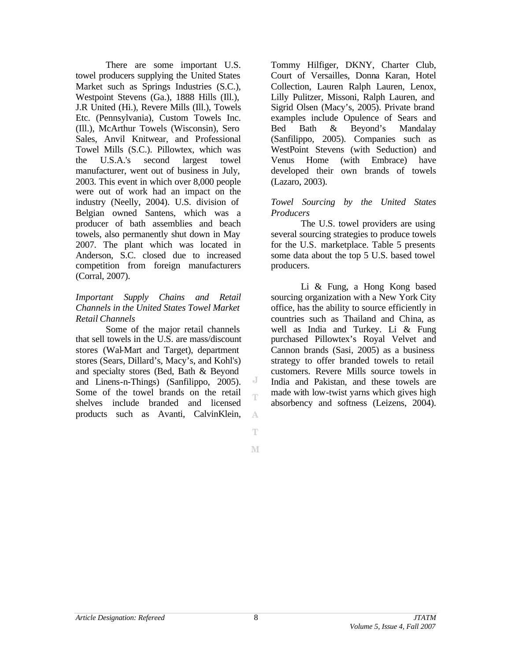There are some important U.S. towel producers supplying the United States Market such as Springs Industries (S.C.), Westpoint Stevens (Ga.), 1888 Hills (Ill.), J.R United (Hi.), Revere Mills (Ill.), Towels Etc. (Pennsylvania), Custom Towels Inc. (Ill.), McArthur Towels (Wisconsin), Sero Sales, Anvil Knitwear, and Professional Towel Mills (S.C.). Pillowtex, which was the U.S.A.'s second largest towel manufacturer, went out of business in July, 2003. This event in which over 8,000 people were out of work had an impact on the industry (Neelly, 2004). U.S. division of Belgian owned Santens, which was a producer of bath assemblies and beach towels, also permanently shut down in May 2007. The plant which was located in Anderson, S.C. closed due to increased competition from foreign manufacturers (Corral, 2007).

#### *Important Supply Chains and Retail Channels in the United States Towel Market Retail Channels*

Some of the major retail channels that sell towels in the U.S. are mass/discount stores (Wal-Mart and Target), department stores (Sears, Dillard's, Macy's, and Kohl's) and specialty stores (Bed, Bath & Beyond and Linens-n-Things) (Sanfilippo, 2005). Some of the towel brands on the retail shelves include branded and licensed products such as Avanti, CalvinKlein,

Tommy Hilfiger, DKNY, Charter Club, Court of Versailles, Donna Karan, Hotel Collection, Lauren Ralph Lauren, Lenox, Lilly Pulitzer, Missoni, Ralph Lauren, and Sigrid Olsen (Macy's, 2005). Private brand examples include Opulence of Sears and Bed Bath & Beyond's Mandalay (Sanfilippo, 2005). Companies such as WestPoint Stevens (with Seduction) and Venus Home (with Embrace) have developed their own brands of towels (Lazaro, 2003).

#### *Towel Sourcing by the United States Producers*

The U.S. towel providers are using several sourcing strategies to produce towels for the U.S. marketplace. Table 5 presents some data about the top 5 U.S. based towel producers.

Li & Fung, a Hong Kong based sourcing organization with a New York City office, has the ability to source efficiently in countries such as Thailand and China, as well as India and Turkey. Li & Fung purchased Pillowtex's Royal Velvet and Cannon brands (Sasi, 2005) as a business strategy to offer branded towels to retail customers. Revere Mills source towels in India and Pakistan, and these towels are made with low-twist yarns which gives high absorbency and softness (Leizens, 2004).

Ŧ M

A

J Ť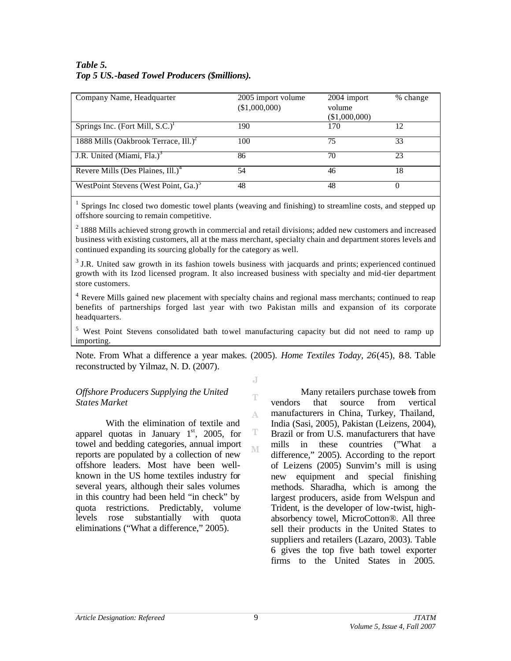### *Table 5. Top 5 US.-based Towel Producers (\$millions).*

| Company Name, Headquarter                           | 2005 import volume<br>(\$1,000,000) | 2004 import<br>volume<br>(\$1,000,000) | % change |
|-----------------------------------------------------|-------------------------------------|----------------------------------------|----------|
| Springs Inc. (Fort Mill, $S.C.$ ) <sup>1</sup>      | 190                                 | 170                                    | 12       |
| 1888 Mills (Oakbrook Terrace, $III.$ ) <sup>2</sup> | 100                                 | 75                                     | 33       |
| J.R. United (Miami, Fla.) <sup>3</sup>              | 86                                  | 70                                     | 23       |
| Revere Mills (Des Plaines, Ill.) <sup>4</sup>       | 54                                  | 46                                     | 18       |
| WestPoint Stevens (West Point, Ga.) <sup>5</sup>    | 48                                  | 48                                     | $\Omega$ |

1 Springs Inc closed two domestic towel plants (weaving and finishing) to streamline costs, and stepped up offshore sourcing to remain competitive.

<sup>2</sup> 1888 Mills achieved strong growth in commercial and retail divisions; added new customers and increased business with existing customers, all at the mass merchant, specialty chain and department stores levels and continued expanding its sourcing globally for the category as well.

<sup>3</sup> J.R. United saw growth in its fashion towels business with jacquards and prints; experienced continued growth with its Izod licensed program. It also increased business with specialty and mid-tier department store customers.

<sup>4</sup> Revere Mills gained new placement with specialty chains and regional mass merchants; continued to reap benefits of partnerships forged last year with two Pakistan mills and expansion of its corporate headquarters.

<sup>5</sup> West Point Stevens consolidated bath towel manufacturing capacity but did not need to ramp up importing.

Note. From What a difference a year makes. (2005). *Home Textiles Today, 26*(45), 8-8. Table reconstructed by Yilmaz, N. D. (2007).

J

Ŧ

A

T M

#### *Offshore Producers Supplying the United States Market*

With the elimination of textile and apparel quotas in January  $1<sup>st</sup>$ , 2005, for towel and bedding categories, annual import reports are populated by a collection of new offshore leaders. Most have been wellknown in the US home textiles industry for several years, although their sales volumes in this country had been held "in check" by quota restrictions. Predictably, volume levels rose substantially with quota eliminations ("What a difference," 2005).

Many retailers purchase towels from vendors that source from vertical manufacturers in China, Turkey, Thailand, India (Sasi, 2005), Pakistan (Leizens, 2004), Brazil or from U.S. manufacturers that have mills in these countries ("What a difference," 2005). According to the report of Leizens (2005) Sunvim's mill is using new equipment and special finishing methods. Sharadha, which is among the largest producers, aside from Welspun and Trident, is the developer of low-twist, highabsorbency towel, MicroCotton®. All three sell their products in the United States to suppliers and retailers (Lazaro, 2003). Table 6 gives the top five bath towel exporter firms to the United States in 2005.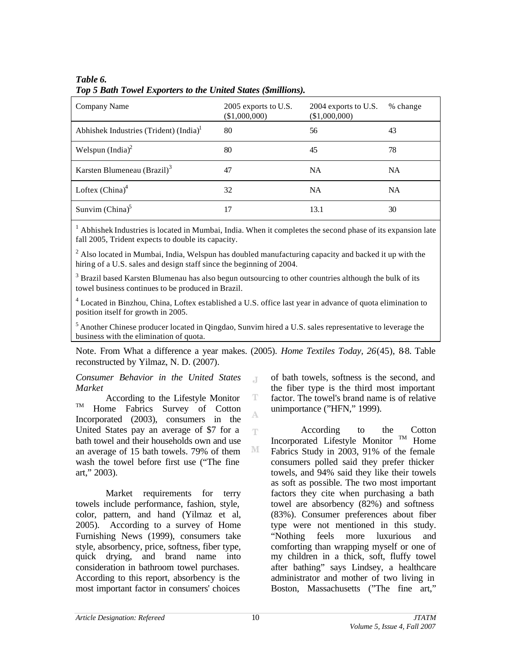| Company Name                                       | 2005 exports to U.S.<br>(\$1,000,000) | 2004 exports to U.S.<br>(\$1,000,000) | % change  |
|----------------------------------------------------|---------------------------------------|---------------------------------------|-----------|
| Abhishek Industries (Trident) (India) <sup>1</sup> | 80                                    | 56                                    | 43        |
| Welspun $(India)^2$                                | 80                                    | 45                                    | 78        |
| Karsten Blumeneau (Brazil) <sup>3</sup>            | 47                                    | <b>NA</b>                             | NA.       |
| Loftex $(China)^4$                                 | 32                                    | <b>NA</b>                             | <b>NA</b> |
| Sunvim $(China)^5$                                 | 17                                    | 13.1                                  | 30        |

### *Table 6. Top 5 Bath Towel Exporters to the United States (\$millions).*

 $1$  Abhishek Industries is located in Mumbai, India. When it completes the second phase of its expansion late fall 2005, Trident expects to double its capacity.

<sup>2</sup> Also located in Mumbai, India, Welspun has doubled manufacturing capacity and backed it up with the hiring of a U.S. sales and design staff since the beginning of 2004.

<sup>3</sup> Brazil based Karsten Blumenau has also begun outsourcing to other countries although the bulk of its towel business continues to be produced in Brazil.

<sup>4</sup> Located in Binzhou, China, Loftex established a U.S. office last year in advance of quota elimination to position itself for growth in 2005.

<sup>5</sup>Another Chinese producer located in Qingdao, Sunvim hired a U.S. sales representative to leverage the business with the elimination of quota.

Note. From What a difference a year makes. (2005). *Home Textiles Today*, 26(45), 8-8. Table reconstructed by Yilmaz, N. D. (2007).

 $\top$ 

T A

Ŧ

M

#### *Consumer Behavior in the United States Market*

According to the Lifestyle Monitor TM Home Fabrics Survey of Cotton Incorporated (2003), consumers in the United States pay an average of \$7 for a bath towel and their households own and use an average of 15 bath towels. 79% of them wash the towel before first use ("The fine art," 2003).

Market requirements for terry towels include performance, fashion, style, color, pattern, and hand (Yilmaz et al, 2005). According to a survey of Home Furnishing News (1999), consumers take style, absorbency, price, softness, fiber type, quick drying, and brand name into consideration in bathroom towel purchases. According to this report, absorbency is the most important factor in consumers' choices

of bath towels, softness is the second, and the fiber type is the third most important factor. The towel's brand name is of relative unimportance ("HFN," 1999).

According to the Cotton Incorporated Lifestyle Monitor  $TM$  Home Fabrics Study in 2003, 91% of the female consumers polled said they prefer thicker towels, and 94% said they like their towels as soft as possible. The two most important factors they cite when purchasing a bath towel are absorbency (82%) and softness (83%). Consumer preferences about fiber type were not mentioned in this study. "Nothing feels more luxurious and comforting than wrapping myself or one of my children in a thick, soft, fluffy towel after bathing" says Lindsey, a healthcare administrator and mother of two living in Boston, Massachusetts ("The fine art,"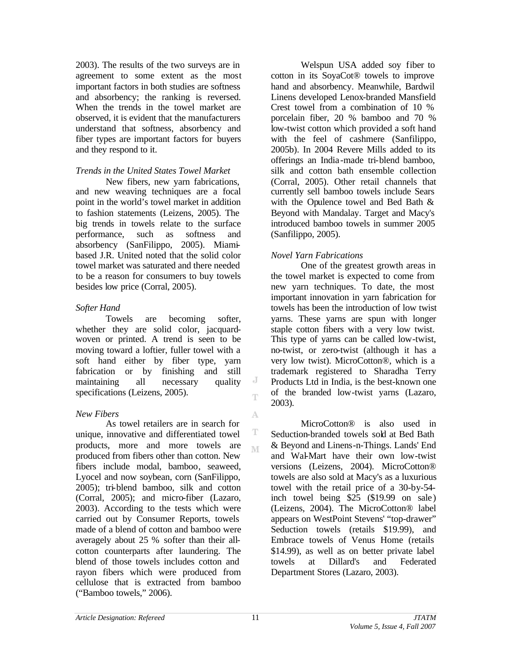2003). The results of the two surveys are in agreement to some extent as the most important factors in both studies are softness and absorbency; the ranking is reversed. When the trends in the towel market are observed, it is evident that the manufacturers understand that softness, absorbency and fiber types are important factors for buyers and they respond to it.

### *Trends in the United States Towel Market*

New fibers, new yarn fabrications, and new weaving techniques are a focal point in the world's towel market in addition to fashion statements (Leizens, 2005). The big trends in towels relate to the surface performance, such as softness and absorbency (SanFilippo, 2005). Miamibased J.R. United noted that the solid color towel market was saturated and there needed to be a reason for consumers to buy towels besides low price (Corral, 2005).

### *Softer Hand*

Towels are becoming softer, whether they are solid color, jacquardwoven or printed. A trend is seen to be moving toward a loftier, fuller towel with a soft hand either by fiber type, yarn fabrication or by finishing and still maintaining all necessary quality specifications (Leizens, 2005).

# *New Fibers*

As towel retailers are in search for unique, innovative and differentiated towel products, more and more towels are produced from fibers other than cotton. New fibers include modal, bamboo, seaweed, Lyocel and now soybean, corn (SanFilippo, 2005); tri-blend bamboo, silk and cotton (Corral, 2005); and micro-fiber (Lazaro, 2003). According to the tests which were carried out by Consumer Reports, towels made of a blend of cotton and bamboo were averagely about 25 % softer than their allcotton counterparts after laundering. The blend of those towels includes cotton and rayon fibers which were produced from cellulose that is extracted from bamboo ("Bamboo towels," 2006).

Welspun USA added soy fiber to cotton in its SoyaCot® towels to improve hand and absorbency. Meanwhile, Bardwil Linens developed Lenox-branded Mansfield Crest towel from a combination of 10 % porcelain fiber, 20 % bamboo and 70 % low-twist cotton which provided a soft hand with the feel of cashmere (Sanfilippo, 2005b). In 2004 Revere Mills added to its offerings an India -made tri-blend bamboo, silk and cotton bath ensemble collection (Corral, 2005). Other retail channels that currently sell bamboo towels include Sears with the Opulence towel and Bed Bath & Beyond with Mandalay. Target and Macy's introduced bamboo towels in summer 2005 (Sanfilippo, 2005).

# *Novel Yarn Fabrications*

One of the greatest growth areas in the towel market is expected to come from new yarn techniques. To date, the most important innovation in yarn fabrication for towels has been the introduction of low twist yarns. These yarns are spun with longer staple cotton fibers with a very low twist. This type of yarns can be called low-twist, no-twist, or zero-twist (although it has a very low twist). MicroCotton®, which is a trademark registered to Sharadha Terry Products Ltd in India, is the best-known one of the branded low-twist yarns (Lazaro, 2003).

MicroCotton® is also used in Seduction-branded towels sold at Bed Bath & Beyond and Linens-n-Things. Lands' End and Wal-Mart have their own low-twist versions (Leizens, 2004). MicroCotton® towels are also sold at Macy's as a luxurious towel with the retail price of a 30-by-54 inch towel being \$25 (\$19.99 on sale ) (Leizens, 2004). The MicroCotton® label appears on WestPoint Stevens' "top-drawer" Seduction towels (retails \$19.99), and Embrace towels of Venus Home (retails \$14.99), as well as on better private label towels at Dillard's and Federated Department Stores (Lazaro, 2003).

J Ŧ

A

T M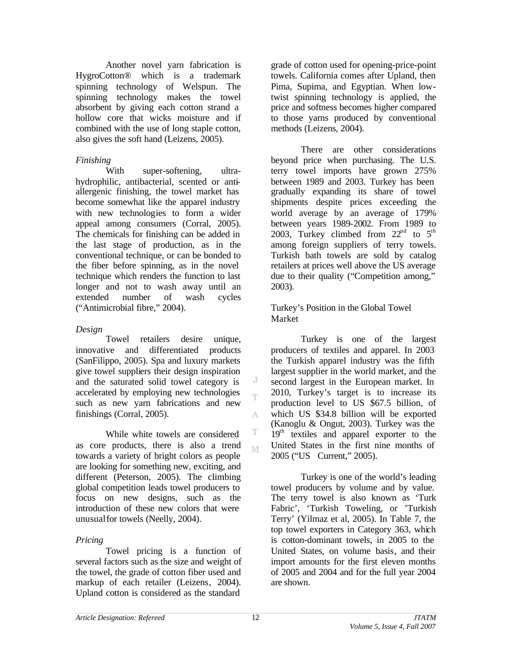Another novel yarn fabrication is HygroCotton® which is a trademark spinning technology of Welspun. The spinning technology makes the towel absorbent by giving each cotton strand a hollow core that wicks moisture and if combined with the use of long staple cotton, also gives the soft hand (Leizens, 2005).

### *Finishing*

With super-softening, ultrahydrophilic, antibacterial, scented or antiallergenic finishing, the towel market has become somewhat like the apparel industry with new technologies to form a wider appeal among consumers (Corral, 2005). The chemicals for finishing can be added in the last stage of production, as in the conventional technique, or can be bonded to the fiber before spinning, as in the novel technique which renders the function to last longer and not to wash away until an extended number of wash cycles ("Antimicrobial fibre," 2004).

# *Design*

Towel retailers desire unique, innovative and differentiated products (SanFilippo, 2005). Spa and luxury markets give towel suppliers their design inspiration and the saturated solid towel category is accelerated by employing new technologies such as new yarn fabrications and new finishings (Corral, 2005).

While white towels are considered as core products, there is also a trend towards a variety of bright colors as people are looking for something new, exciting, and different (Peterson, 2005). The climbing global competition leads towel producers to focus on new designs, such as the introduction of these new colors that were unusualfor towels (Neelly, 2004).

# *Pricing*

Towel pricing is a function of several factors such as the size and weight of the towel, the grade of cotton fiber used and markup of each retailer (Leizens, 2004). Upland cotton is considered as the standard

grade of cotton used for opening-price-point towels. California comes after Upland, then Pima, Supima, and Egyptian. When lowtwist spinning technology is applied, the price and softness becomes higher compared to those yarns produced by conventional methods (Leizens, 2004).

There are other considerations beyond price when purchasing. The U.S. terry towel imports have grown 275% between 1989 and 2003. Turkey has been gradually expanding its share of towel shipments despite prices exceeding the world average by an average of 179% between years 1989-2002. From 1989 to 2003, Turkey climbed from  $22<sup>nd</sup>$  to  $5<sup>th</sup>$ among foreign suppliers of terry towels. Turkish bath towels are sold by catalog retailers at prices well above the US average due to their quality ("Competition among," 2003).

Turkey's Position in the Global Towel Market

Turkey is one of the largest producers of textiles and apparel. In 2003 the Turkish apparel industry was the fifth largest supplier in the world market, and the second largest in the European market. In 2010, Turkey's target is to increase its production level to US \$67.5 billion, of which US \$34.8 billion will be exported (Kanoglu & Ongut, 2003). Turkey was the 19<sup>th</sup> textiles and apparel exporter to the United States in the first nine months of 2005 ("US Current," 2005).

Turkey is one of the world's leading towel producers by volume and by value. The terry towel is also known as 'Turk Fabric', 'Turkish Toweling, or 'Turkish Terry' (Yilmaz et al, 2005). In Table 7, the top towel exporters in Category 363, which is cotton-dominant towels, in 2005 to the United States, on volume basis, and their import amounts for the first eleven months of 2005 and 2004 and for the full year 2004 are shown.

J Ť

A

T M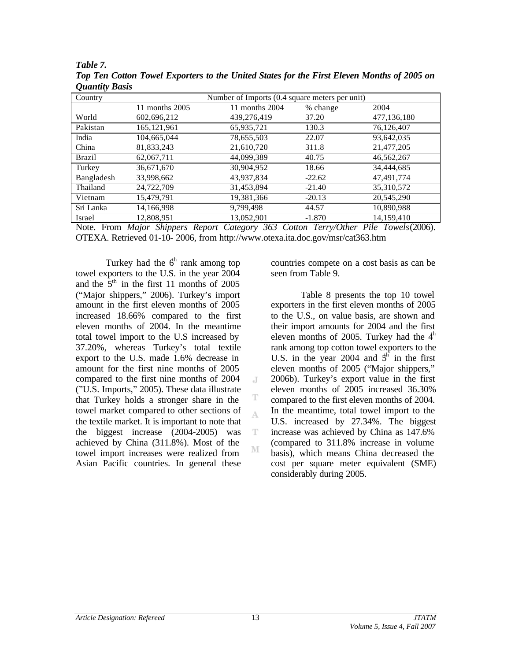| Country       | Number of Imports (0.4 square meters per unit) |                |          |             |  |  |  |
|---------------|------------------------------------------------|----------------|----------|-------------|--|--|--|
|               | 11 months 2005                                 | 11 months 2004 | % change | 2004        |  |  |  |
| World         | 602.696.212                                    | 439,276,419    | 37.20    | 477,136,180 |  |  |  |
| Pakistan      | 165, 121, 961                                  | 65,935,721     | 130.3    | 76,126,407  |  |  |  |
| India         | 104,665,044                                    | 78,655,503     | 22.07    | 93,642,035  |  |  |  |
| China         | 81,833,243                                     | 21,610,720     | 311.8    | 21,477,205  |  |  |  |
| <b>Brazil</b> | 62,067,711                                     | 44,099,389     | 40.75    | 46,562,267  |  |  |  |
| Turkey        | 36,671,670                                     | 30,904,952     | 18.66    | 34,444,685  |  |  |  |
| Bangladesh    | 33,998,662                                     | 43,937,834     | $-22.62$ | 47,491,774  |  |  |  |
| Thailand      | 24,722,709                                     | 31,453,894     | $-21.40$ | 35,310,572  |  |  |  |
| Vietnam       | 15,479,791                                     | 19,381,366     | $-20.13$ | 20,545,290  |  |  |  |
| Sri Lanka     | 14,166,998                                     | 9,799,498      | 44.57    | 10,890,988  |  |  |  |
| Israel        | 12,808,951                                     | 13,052,901     | $-1.870$ | 14,159,410  |  |  |  |

*Table 7. Top Ten Cotton Towel Exporters to the United States for the First Eleven Months of 2005 on Quantity Basis* 

Note. From *Major Shippers Report Category 363 Cotton Terry/Other Pile Towels*(2006)*.*  OTEXA. Retrieved 01-10- 2006, from http://www.otexa.ita.doc.gov/msr/cat363.htm

J

T A

T

M

Turkey had the  $6<sup>th</sup>$  rank among top towel exporters to the U.S. in the year 2004 and the  $5<sup>th</sup>$  in the first 11 months of 2005 ("Major shippers," 2006). Turkey's import amount in the first eleven months of 2005 increased 18.66% compared to the first eleven months of 2004. In the meantime total towel import to the U.S increased by 37.20%, whereas Turkey's total textile export to the U.S. made 1.6% decrease in amount for the first nine months of 2005 compared to the first nine months of 2004 ("U.S. Imports," 2005). These data illustrate that Turkey holds a stronger share in the towel market compared to other sections of the textile market. It is important to note that the biggest increase (2004-2005) was achieved by China (311.8%). Most of the towel import increases were realized from Asian Pacific countries. In general these

countries compete on a cost basis as can be seen from Table 9.

Table 8 presents the top 10 towel exporters in the first eleven months of 2005 to the U.S., on value basis, are shown and their import amounts for 2004 and the first eleven months of 2005. Turkey had the  $4<sup>th</sup>$ rank among top cotton towel exporters to the U.S. in the year 2004 and  $5<sup>h</sup>$  in the first eleven months of 2005 ("Major shippers," 2006b). Turkey's export value in the first eleven months of 2005 increased 36.30% compared to the first eleven months of 2004. In the meantime, total towel import to the U.S. increased by 27.34%. The biggest increase was achieved by China as 147.6% (compared to 311.8% increase in volume basis), which means China decreased the cost per square meter equivalent (SME) considerably during 2005.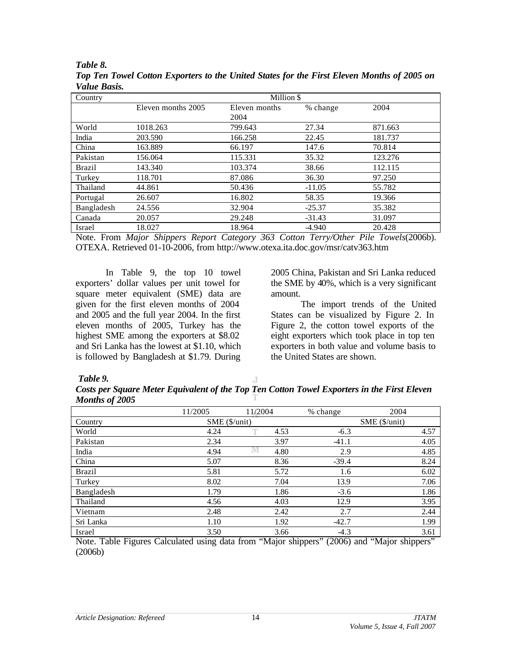| Country       | Million \$         |               |          |         |  |  |
|---------------|--------------------|---------------|----------|---------|--|--|
|               | Eleven months 2005 | Eleven months | % change | 2004    |  |  |
|               |                    | 2004          |          |         |  |  |
| World         | 1018.263           | 799.643       | 27.34    | 871.663 |  |  |
| India         | 203.590            | 166.258       | 22.45    | 181.737 |  |  |
| China         | 163.889            | 66.197        | 147.6    | 70.814  |  |  |
| Pakistan      | 156.064            | 115.331       | 35.32    | 123.276 |  |  |
| <b>Brazil</b> | 143.340            | 103.374       | 38.66    | 112.115 |  |  |
| Turkey        | 118.701            | 87.086        | 36.30    | 97.250  |  |  |
| Thailand      | 44.861             | 50.436        | $-11.05$ | 55.782  |  |  |
| Portugal      | 26.607             | 16.802        | 58.35    | 19.366  |  |  |
| Bangladesh    | 24.556             | 32.904        | $-25.37$ | 35.382  |  |  |
| Canada        | 20.057             | 29.248        | $-31.43$ | 31.097  |  |  |
| Israel        | 18.027             | 18.964        | $-4.940$ | 20.428  |  |  |

*Table 8. Top Ten Towel Cotton Exporters to the United States for the First Eleven Months of 2005 on Value Basis.* 

Note. From *Major Shippers Report Category 363 Cotton Terry/Other Pile Towels*(2006b). OTEXA. Retrieved 01-10-2006, from http://www.otexa.ita.doc.gov/msr/catv363.htm

In Table 9, the top 10 towel exporters' dollar values per unit towel for square meter equivalent (SME) data are given for the first eleven months of 2004 and 2005 and the full year 2004. In the first eleven months of 2005, Turkey has the highest SME among the exporters at \$8.02 and Sri Lanka has the lowest at \$1.10, which is followed by Bangladesh at \$1.79. During

2005 China, Pakistan and Sri Lanka reduced the SME by 40%, which is a very significant amount.

The import trends of the United States can be visualized by Figure 2. In Figure 2, the cotton towel exports of the eight exporters which took place in top ten exporters in both value and volume basis to the United States are shown.

#### *Table 9.*

J. *Costs per Square Meter Equivalent of the Top Ten Cotton Towel Exporters in the First Eleven Months of 2005*

|               | 11/2005                           | 11/2004 |      | % change      | 2004 |
|---------------|-----------------------------------|---------|------|---------------|------|
| Country       | $SME$ ( $\frac{\omega}{\omega}$ ) |         |      | SME (\$/unit) |      |
| World         | 4.24                              |         | 4.53 | $-6.3$        | 4.57 |
| Pakistan      | 2.34                              |         | 3.97 | $-41.1$       | 4.05 |
| India         | 4.94                              | IVI.    | 4.80 | 2.9           | 4.85 |
| China         | 5.07                              |         | 8.36 | $-39.4$       | 8.24 |
| <b>Brazil</b> | 5.81                              |         | 5.72 | 1.6           | 6.02 |
| Turkey        | 8.02                              |         | 7.04 | 13.9          | 7.06 |
| Bangladesh    | 1.79                              |         | 1.86 | $-3.6$        | 1.86 |
| Thailand      | 4.56                              |         | 4.03 | 12.9          | 3.95 |
| Vietnam       | 2.48                              |         | 2.42 | 2.7           | 2.44 |
| Sri Lanka     | 1.10                              |         | 1.92 | $-42.7$       | 1.99 |
| Israel        | 3.50                              |         | 3.66 | $-4.3$        | 3.61 |

Note. Table Figures Calculated using data from "Major shippers" (2006) and "Major shippers" (2006b)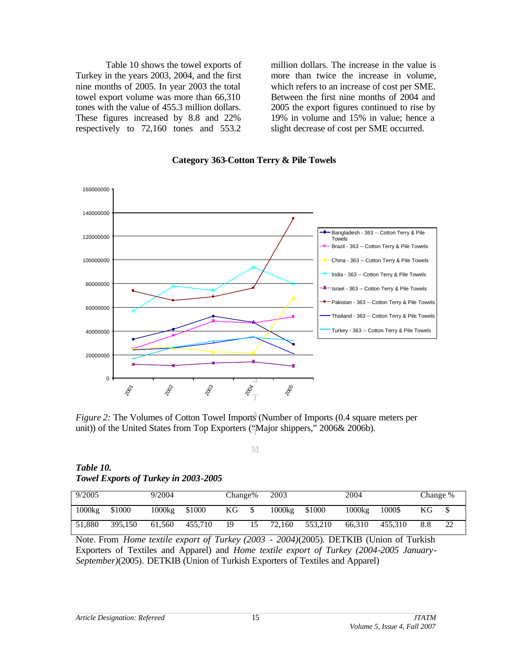Table 10 shows the towel exports of Turkey in the years 2003, 2004, and the first nine months of 2005. In year 2003 the total towel export volume was more than 66,310 tones with the value of 455.3 million dollars. These figures increased by 8.8 and 22% respectively to 72,160 tones and 553.2 million dollars. The increase in the value is more than twice the increase in volume, which refers to an increase of cost per SME. Between the first nine months of 2004 and 2005 the export figures continued to rise by 19% in volume and 15% in value; hence a slight decrease of cost per SME occurred.



*Chart Title* **Category 363-Cotton Terry & Pile Towels**

*Figure 2:* The Volumes of Cotton Towel Imports (Number of Imports (0.4 square meters per unit)) of the United States from Top Exporters ("Major shippers," 2006& 2006b).

M

*Table 10. Towel Exports of Turkey in 2003-2005* 

| 9/2005 |         | 9/2004 |         | Change% |    | 2003   |         | 2004   |         | Change % |    |
|--------|---------|--------|---------|---------|----|--------|---------|--------|---------|----------|----|
| 1000kg | \$1000  | 1000kg | \$1000  | ΚG      | \$ | 1000kg | \$1000  | 1000kg | 1000\$  | ΚG       |    |
| 51.880 | 395.150 | 61.560 | 455,710 | 19      | 15 | 72.160 | 553.210 | 66.310 | 455.310 |          | 22 |

Note. From *Home textile export of Turkey (2003 - 2004)*(2005). DETKIB (Union of Turkish Exporters of Textiles and Apparel) and *Home textile export of Turkey (2004-2005 January-September)*(2005)*.* DETKIB (Union of Turkish Exporters of Textiles and Apparel)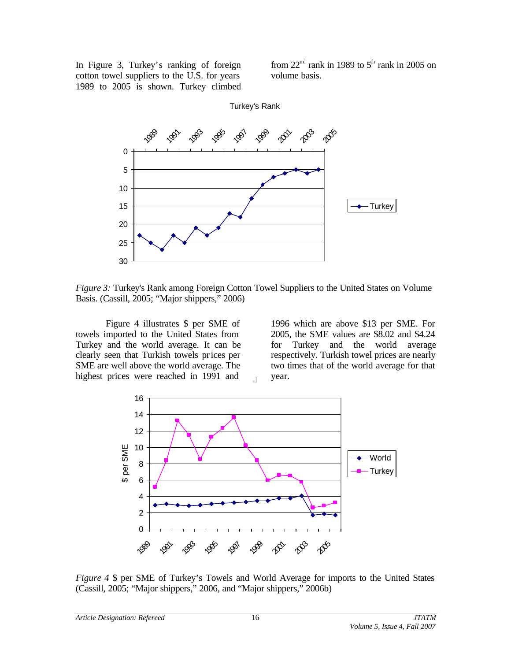In Figure 3, Turkey's ranking of foreign cotton towel suppliers to the U.S. for years 1989 to 2005 is shown. Turkey climbed from  $22<sup>nd</sup>$  rank in 1989 to  $5<sup>th</sup>$  rank in 2005 on volume basis.



*Figure 3:* Turkey's Rank among Foreign Cotton Towel Suppliers to the United States on Volume Basis. (Cassill, 2005; "Major shippers," 2006)

 $\overline{A}$ 

Figure 4 illustrates \$ per SME of towels imported to the United States from Turkey and the world average. It can be clearly seen that Turkish towels prices per SME are well above the world average. The highest prices were reached in 1991 and

1996 which are above \$13 per SME. For 2005, the SME values are \$8.02 and \$4.24 for Turkey and the world average respectively. Turkish towel prices are nearly two times that of the world average for that year.



*Figure 4* \$ per SME of Turkey's Towels and World Average for imports to the United States (Cassill, 2005; "Major shippers," 2006, and "Major shippers," 2006b)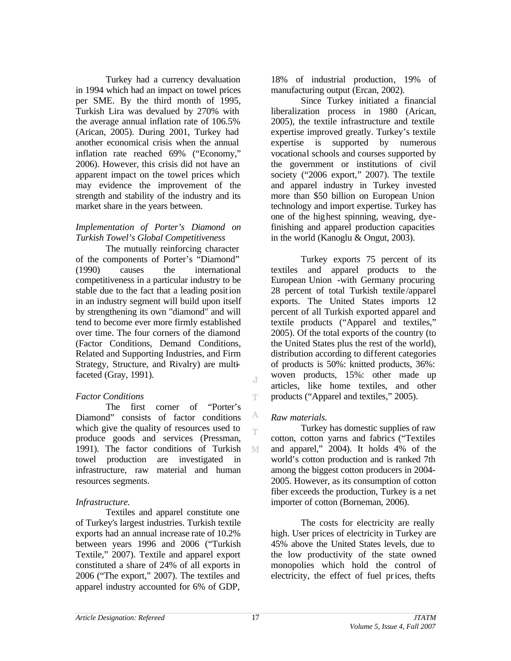Turkey had a currency devaluation in 1994 which had an impact on towel prices per SME. By the third month of 1995, Turkish Lira was devalued by 270% with the average annual inflation rate of 106.5% (Arican, 2005). During 2001, Turkey had another economical crisis when the annual inflation rate reached 69% ("Economy," 2006). However, this crisis did not have an apparent impact on the towel prices which may evidence the improvement of the strength and stability of the industry and its market share in the years between.

### *Implementation of Porter's Diamond on Turkish Towel's Global Competitiveness*

The mutually reinforcing character of the components of Porter's "Diamond" (1990) causes the international competitiveness in a particular industry to be stable due to the fact that a leading position in an industry segment will build upon itself by strengthening its own "diamond" and will tend to become ever more firmly established over time. The four corners of the diamond (Factor Conditions, Demand Conditions, Related and Supporting Industries, and Firm Strategy, Structure, and Rivalry) are multifaceted (Gray, 1991).

### *Factor Conditions*

The first corner of "Porter's Diamond" consists of factor conditions which give the quality of resources used to produce goods and services (Pressman, 1991). The factor conditions of Turkish M towel production are investigated in infrastructure, raw material and human resources segments.

### *Infrastructure.*

Textiles and apparel constitute one of Turkey's largest industries. Turkish textile exports had an annual increase rate of 10.2% between years 1996 and 2006 ("Turkish Textile," 2007). Textile and apparel export constituted a share of 24% of all exports in 2006 ("The export," 2007). The textiles and apparel industry accounted for 6% of GDP,

18% of industrial production, 19% of manufacturing output (Ercan, 2002).

Since Turkey initiated a financial liberalization process in 1980 (Arican, 2005), the textile infrastructure and textile expertise improved greatly. Turkey's textile expertise is supported by numerous vocational schools and courses supported by the government or institutions of civil society ("2006 export*,*" 2007). The textile and apparel industry in Turkey invested more than \$50 billion on European Union technology and import expertise. Turkey has one of the highest spinning, weaving, dyefinishing and apparel production capacities in the world (Kanoglu & Ongut, 2003).

Turkey exports 75 percent of its textiles and apparel products to the European Union -with Germany procuring 28 percent of total Turkish textile /apparel exports. The United States imports 12 percent of all Turkish exported apparel and textile products ("Apparel and textiles," 2005). Of the total exports of the country (to the United States plus the rest of the world), distribution according to different categories of products is 50%: knitted products, 36%: woven products, 15%: other made up articles, like home textiles, and other products ("Apparel and textiles," 2005).

# *Raw materials.*

Turkey has domestic supplies of raw cotton, cotton yarns and fabrics ("Textiles and apparel," 2004). It holds 4% of the world's cotton production and is ranked 7th among the biggest cotton producers in 2004- 2005. However, as its consumption of cotton fiber exceeds the production, Turkey is a net importer of cotton (Borneman, 2006).

The costs for electricity are really high. User prices of electricity in Turkey are 45% above the United States levels, due to the low productivity of the state owned monopolies which hold the control of electricity, the effect of fuel prices, thefts

J

Ŧ

А Ŧ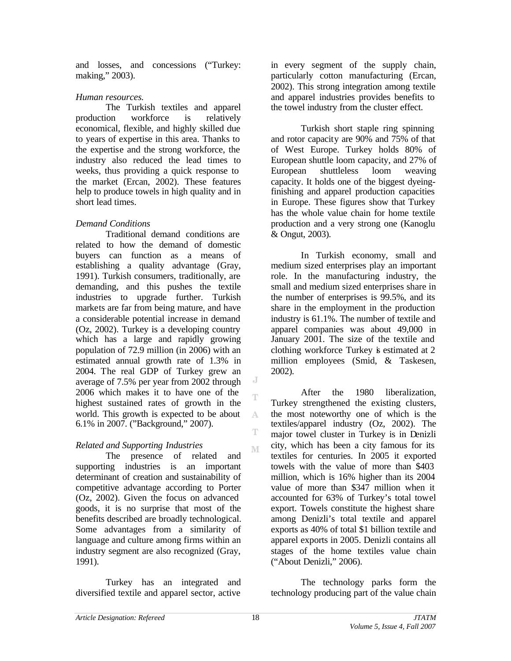and losses, and concessions ("Turkey: making," 2003).

### *Human resources.*

The Turkish textiles and apparel production workforce is relatively economical, flexible, and highly skilled due to years of expertise in this area. Thanks to the expertise and the strong workforce, the industry also reduced the lead times to weeks, thus providing a quick response to the market (Ercan, 2002). These features help to produce towels in high quality and in short lead times.

# *Demand Conditions*

Traditional demand conditions are related to how the demand of domestic buyers can function as a means of establishing a quality advantage (Gray, 1991). Turkish consumers, traditionally, are demanding, and this pushes the textile industries to upgrade further. Turkish markets are far from being mature, and have a considerable potential increase in demand (Oz, 2002). Turkey is a developing country which has a large and rapidly growing population of 72.9 million (in 2006) with an estimated annual growth rate of 1.3% in 2004. The real GDP of Turkey grew an average of 7.5% per year from 2002 through 2006 which makes it to have one of the highest sustained rates of growth in the world. This growth is expected to be about 6.1% in 2007. ("Background," 2007).

# *Related and Supporting Industries*

The presence of related and supporting industries is an important determinant of creation and sustainability of competitive advantage according to Porter (Oz, 2002). Given the focus on advanced goods, it is no surprise that most of the benefits described are broadly technological. Some advantages from a similarity of language and culture among firms within an industry segment are also recognized (Gray, 1991).

Turkey has an integrated and diversified textile and apparel sector, active

in every segment of the supply chain, particularly cotton manufacturing (Ercan, 2002). This strong integration among textile and apparel industries provides benefits to the towel industry from the cluster effect.

Turkish short staple ring spinning and rotor capacity are 90% and 75% of that of West Europe. Turkey holds 80% of European shuttle loom capacity, and 27% of European shuttleless loom weaving capacity. It holds one of the biggest dyeingfinishing and apparel production capacities in Europe. These figures show that Turkey has the whole value chain for home textile production and a very strong one (Kanoglu & Ongut, 2003).

In Turkish economy, small and medium sized enterprises play an important role. In the manufacturing industry, the small and medium sized enterprises share in the number of enterprises is 99.5%, and its share in the employment in the production industry is 61.1%. The number of textile and apparel companies was about 49,000 in January 2001. The size of the textile and clothing workforce Turkey is estimated at 2 million employees (Smid, & Taskesen, 2002).

After the 1980 liberalization, Turkey strengthened the existing clusters, the most noteworthy one of which is the textiles/apparel industry (Oz, 2002). The major towel cluster in Turkey is in Denizli city, which has been a city famous for its textiles for centuries. In 2005 it exported towels with the value of more than \$403 million, which is 16% higher than its 2004 value of more than \$347 million when it accounted for 63% of Turkey's total towel export. Towels constitute the highest share among Denizli's total textile and apparel exports as 40% of total \$1 billion textile and apparel exports in 2005. Denizli contains all stages of the home textiles value chain ("About Denizli," 2006).

The technology parks form the technology producing part of the value chain

J T

A

T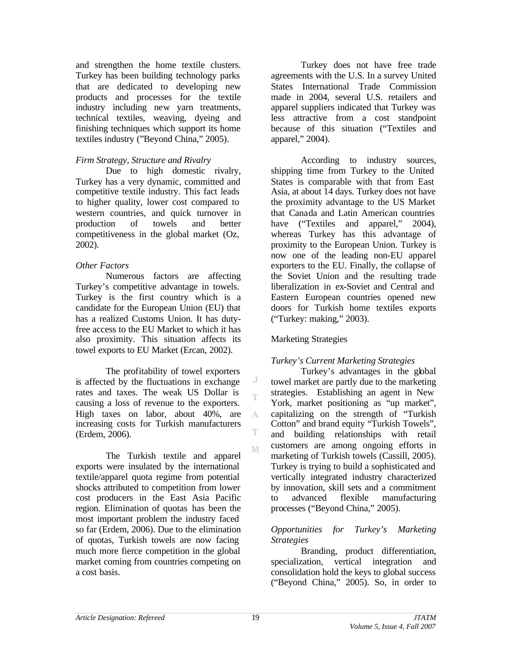and strengthen the home textile clusters. Turkey has been building technology parks that are dedicated to developing new products and processes for the textile industry including new yarn treatments, technical textiles, weaving, dyeing and finishing techniques which support its home textiles industry ("Beyond China," 2005).

### *Firm Strategy, Structure and Rivalry*

Due to high domestic rivalry, Turkey has a very dynamic, committed and competitive textile industry. This fact leads to higher quality, lower cost compared to western countries, and quick turnover in production of towels and better competitiveness in the global market (Oz, 2002).

### *Other Factors*

Numerous factors are affecting Turkey's competitive advantage in towels. Turkey is the first country which is a candidate for the European Union (EU) that has a realized Customs Union. It has dutyfree access to the EU Market to which it has also proximity. This situation affects its towel exports to EU Market (Ercan, 2002).

The profitability of towel exporters is affected by the fluctuations in exchange rates and taxes. The weak US Dollar is causing a loss of revenue to the exporters. High taxes on labor, about 40%, are increasing costs for Turkish manufacturers (Erdem, 2006).

The Turkish textile and apparel exports were insulated by the international textile/apparel quota regime from potential shocks attributed to competition from lower cost producers in the East Asia Pacific region. Elimination of quotas has been the most important problem the industry faced so far (Erdem, 2006). Due to the elimination of quotas, Turkish towels are now facing much more fierce competition in the global market coming from countries competing on a cost basis.

Turkey does not have free trade agreements with the U.S. In a survey United States International Trade Commission made in 2004, several U.S. retailers and apparel suppliers indicated that Turkey was less attractive from a cost standpoint because of this situation ("Textiles and apparel," 2004).

According to industry sources, shipping time from Turkey to the United States is comparable with that from East Asia, at about 14 days. Turkey does not have the proximity advantage to the US Market that Canada and Latin American countries have ("Textiles and apparel," 2004), whereas Turkey has this advantage of proximity to the European Union. Turkey is now one of the leading non-EU apparel exporters to the EU. Finally, the collapse of the Soviet Union and the resulting trade liberalization in ex-Soviet and Central and Eastern European countries opened new doors for Turkish home textiles exports ("Turkey: making," 2003).

# Marketing Strategies

# *Turkey's Current Marketing Strategies*

Turkey's advantages in the global towel market are partly due to the marketing strategies. Establishing an agent in New York, market positioning as "up market", capitalizing on the strength of "Turkish Cotton" and brand equity "Turkish Towels", and building relationships with retail customers are among ongoing efforts in marketing of Turkish towels (Cassill, 2005). Turkey is trying to build a sophisticated and vertically integrated industry characterized by innovation, skill sets and a commitment to advanced flexible manufacturing processes ("Beyond China," 2005).

#### *Opportunities for Turkey's Marketing Strategies*

Branding, product differentiation, specialization, vertical integration and consolidation hold the keys to global success ("Beyond China," 2005). So, in order to

J Ť

A Ŧ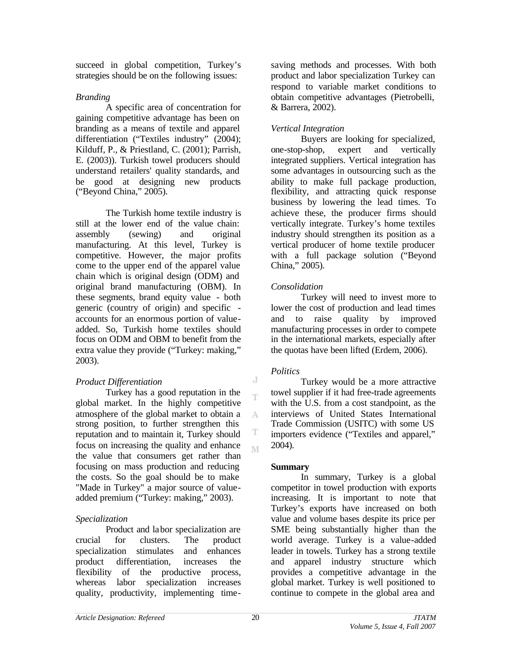succeed in global competition, Turkey's strategies should be on the following issues:

### *Branding*

A specific area of concentration for gaining competitive advantage has been on branding as a means of textile and apparel differentiation ("Textiles industry" (2004); Kilduff, P., & Priestland, C. (2001); Parrish, E. (2003)). Turkish towel producers should understand retailers' quality standards, and be good at designing new products ("Beyond China," 2005).

The Turkish home textile industry is still at the lower end of the value chain: assembly (sewing) and original manufacturing. At this level, Turkey is competitive. However, the major profits come to the upper end of the apparel value chain which is original design (ODM) and original brand manufacturing (OBM). In these segments, brand equity value - both generic (country of origin) and specific accounts for an enormous portion of valueadded. So, Turkish home textiles should focus on ODM and OBM to benefit from the extra value they provide ("Turkey: making," 2003).

# *Product Differentiation*

Turkey has a good reputation in the global market. In the highly competitive atmosphere of the global market to obtain a strong position, to further strengthen this reputation and to maintain it, Turkey should focus on increasing the quality and enhance the value that consumers get rather than focusing on mass production and reducing the costs. So the goal should be to make "Made in Turkey" a major source of valueadded premium ("Turkey: making," 2003).

# *Specialization*

Product and labor specialization are crucial for clusters. The product specialization stimulates and enhances product differentiation, increases the flexibility of the productive process, whereas labor specialization increases quality, productivity, implementing timesaving methods and processes. With both product and labor specialization Turkey can respond to variable market conditions to obtain competitive advantages (Pietrobelli, & Barrera, 2002).

### *Vertical Integration*

Buyers are looking for specialized, one-stop-shop, expert and vertically integrated suppliers. Vertical integration has some advantages in outsourcing such as the ability to make full package production, flexibility, and attracting quick response business by lowering the lead times. To achieve these, the producer firms should vertically integrate. Turkey's home textiles industry should strengthen its position as a vertical producer of home textile producer with a full package solution ("Beyond China," 2005).

# *Consolidation*

Turkey will need to invest more to lower the cost of production and lead times and to raise quality by improved manufacturing processes in order to compete in the international markets, especially after the quotas have been lifted (Erdem, 2006).

# *Politics*

J Ť

A

T M

Turkey would be a more attractive towel supplier if it had free-trade agreements with the U.S. from a cost standpoint, as the interviews of United States International Trade Commission (USITC) with some US importers evidence ("Textiles and apparel," 2004).

### **Summary**

In summary, Turkey is a global competitor in towel production with exports increasing. It is important to note that Turkey's exports have increased on both value and volume bases despite its price per SME being substantially higher than the world average. Turkey is a value-added leader in towels. Turkey has a strong textile and apparel industry structure which provides a competitive advantage in the global market. Turkey is well positioned to continue to compete in the global area and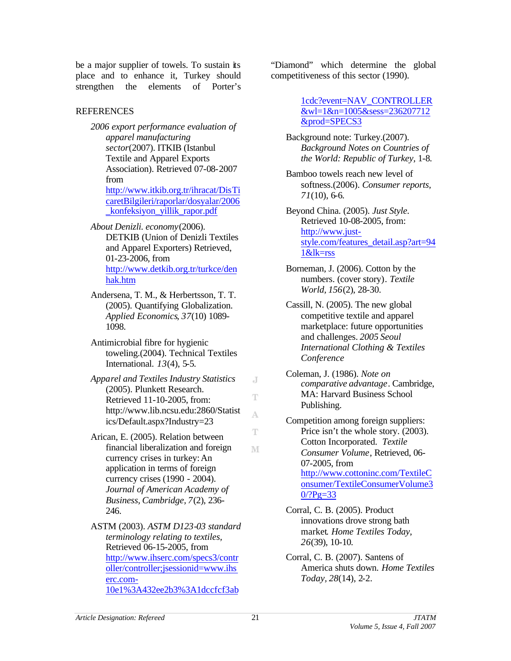be a major supplier of towels. To sustain its place and to enhance it, Turkey should strengthen the elements of Porter's

# REFERENCES

- *2006 export performance evaluation of apparel manufacturing sector*(2007). ITKIB (Istanbul Textile and Apparel Exports Association). Retrieved 07-08-2007 from http://www.itkib.org.tr/ihracat/DisTi caretBilgileri/raporlar/dosyalar/2006 \_konfeksiyon\_yillik\_rapor.pdf
- *About Denizli. economy*(2006). DETKIB (Union of Denizli Textiles and Apparel Exporters) Retrieved, 01-23-2006, from http://www.detkib.org.tr/turkce/den hak.htm
- Andersena, T. M., & Herbertsson, T. T. (2005). Quantifying Globalization. *Applied Economics, 37*(10) 1089- 1098.
- Antimicrobial fibre for hygienic toweling.(2004). Technical Textiles International. *13*(4), 5-5.
- *Apparel and Textiles Industry Statistics* (2005). Plunkett Research. Retrieved 11-10-2005, from: http://www.lib.ncsu.edu:2860/Statist ics/Default.aspx?Industry=23
- Arican, E. (2005). Relation between financial liberalization and foreign currency crises in turkey:An application in terms of foreign currency crises (1990 - 2004). *Journal of American Academy of Business, Cambridge, 7*(2), 236- 246.
- ASTM (2003). *ASTM D123-03 standard terminology relating to textiles,*  Retrieved 06-15-2005, from http://www.ihserc.com/specs3/contr oller/controller;jsessionid=www.ihs erc.com-10e1%3A432ee2b3%3A1dccfcf3ab

"Diamond" which determine the global competitiveness of this sector (1990).

> 1cdc?event=NAV\_CONTROLLER &wl=1&n=1005&sess=236207712 &prod=SPECS3

- Background note: Turkey.(2007). *Background Notes on Countries of the World: Republic of Turkey,* 1-8.
- Bamboo towels reach new level of softness.(2006). *Consumer reports, 71*(10), 6-6.

Beyond China. (2005). *Just Style.*  Retrieved 10-08-2005, from: http://www.juststyle.com/features\_detail.asp?art=94 1&lk=rss

- Borneman, J. (2006). Cotton by the numbers. (cover story). *Textile World, 156*(2), 28-30.
- Cassill, N. (2005). The new global competitive textile and apparel marketplace: future opportunities and challenges. *2005 Seoul International Clothing & Textiles Conference*
- Coleman, J. (1986). *Note on comparative advantage*. Cambridge, MA: Harvard Business School Publishing.
- Competition among foreign suppliers: Price isn't the whole story.  $(2003)$ . Cotton Incorporated. *Textile Consumer Volume*, Retrieved, 06- 07-2005, from http://www.cottoninc.com/TextileC onsumer/TextileConsumerVolume3  $0$  $?$ Pg=33
- Corral, C. B. (2005). Product innovations drove strong bath market*. Home Textiles Today*, *26*(39), 10-10.
- Corral, C. B. (2007). Santens of America shuts down. *Home Textiles Today, 28*(14), 2-2.

J

Ŧ

A

T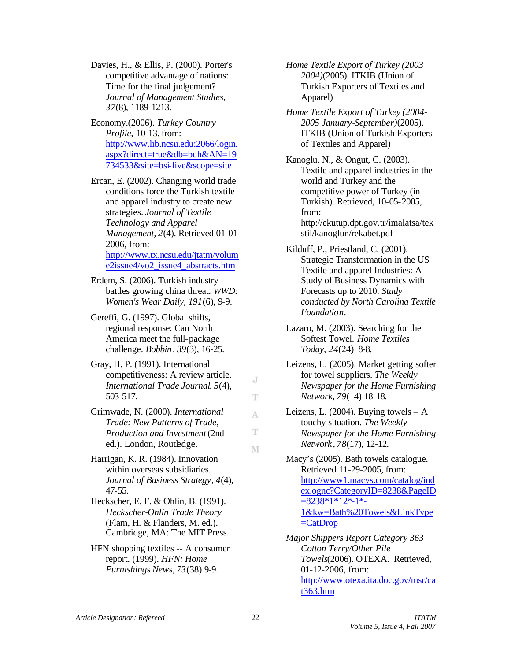Davies, H., & Ellis, P. (2000). Porter's competitive advantage of nations: Time for the final judgement? *Journal of Management Studies*, *37*(8), 1189-1213.

Economy.(2006). *Turkey Country Profile,* 10-13. from: http://www.lib.ncsu.edu:2066/login. aspx?direct=true&db=buh&AN=19 734533&site=bsi-live&scope=site

Ercan, E. (2002). Changing world trade conditions force the Turkish textile and apparel industry to create new strategies. *Journal of Textile Technology and Apparel Management, 2*(4). Retrieved 01-01- 2006, from: http://www.tx.ncsu.edu/jtatm/volum e2issue4/vo2\_issue4\_abstracts.htm

Erdem, S. (2006). Turkish industry battles growing china threat. *WWD: Women's Wear Daily, 191*(6), 9-9.

Gereffi, G. (1997). Global shifts, regional response: Can North America meet the full-package challenge. *Bobbin*, *39*(3), 16-25.

Gray, H. P. (1991). International competitiveness: A review article. *International Trade Journal*, *5*(4), 503-517.

Grimwade, N. (2000). *International Trade: New Patterns of Trade, Production and Investment* (2nd ed.). London, Routledge.

Harrigan, K. R. (1984). Innovation within overseas subsidiaries. *Journal of Business Strategy*, *4*(4), 47-55.

- Heckscher, E. F. & Ohlin, B. (1991). *Heckscher-Ohlin Trade Theory*  (Flam, H. & Flanders, M. ed.). Cambridge, MA: The MIT Press.
- HFN shopping textiles -- A consumer report. (1999). *HFN: Home Furnishings News, 73*(38) 9-9.

*Home Textile Export of Turkey (2003 2004)*(2005). ITKIB (Union of Turkish Exporters of Textiles and Apparel)

*Home Textile Export of Turkey (2004- 2005 January-September)*(2005). ITKIB (Union of Turkish Exporters of Textiles and Apparel)

Kanoglu, N., & Ongut, C. (2003). Textile and apparel industries in the world and Turkey and the competitive power of Turkey (in Turkish). Retrieved, 10-05-2005, from: http://ekutup.dpt.gov.tr/imalatsa/tek stil/kanoglun/rekabet.pdf

Kilduff, P., Priestland, C. (2001). Strategic Transformation in the US Textile and apparel Industries: A Study of Business Dynamics with Forecasts up to 2010. *Study conducted by North Carolina Textile Foundation.*

Lazaro, M. (2003). Searching for the Softest Towel. *Home Textiles Today, 24*(24) 8-8.

Leizens, L. (2005). Market getting softer for towel suppliers. *The Weekly Newspaper for the Home Furnishing Network, 79*(14) 18-18.

Leizens, L.  $(2004)$ . Buying towels – A touchy situation. *The Weekly Newspaper for the Home Furnishing Network* , *78*(17), 12-12.

Macy's (2005). Bath towels catalogue. Retrieved 11-29-2005, from: http://www1.macys.com/catalog/ind ex.ognc?CategoryID=8238&PageID  $= 8238 * 1 * 12 * 1 * 1$ 1&kw=Bath%20Towels&LinkType  $=$ CatDrop

*Major Shippers Report Category 363 Cotton Terry/Other Pile Towels*(2006). OTEXA. Retrieved, 01-12-2006, from: http://www.otexa.ita.doc.gov/msr/ca t363.htm

J Ŧ

A

T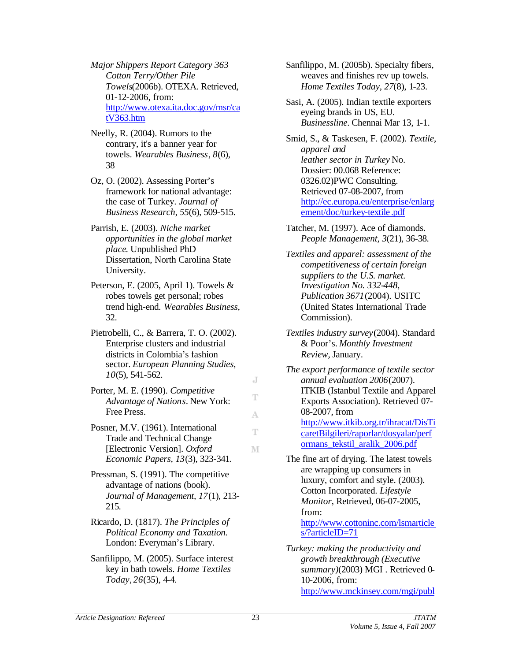*Major Shippers Report Category 363 Cotton Terry/Other Pile Towels*(2006b). OTEXA. Retrieved, 01-12-2006, from: http://www.otexa.ita.doc.gov/msr/ca tV363.htm

- Neelly, R. (2004). Rumors to the contrary, it's a banner year for towels. *Wearables Business*, *8*(6), 38
- Oz, O. (2002). Assessing Porter's framework for national advantage: the case of Turkey. *Journal of Business Research, 55*(6), 509-515.
- Parrish, E. (2003). *Niche market opportunities in the global market place*. Unpublished PhD Dissertation, North Carolina State University.
- Peterson, E. (2005, April 1). Towels & robes towels get personal; robes trend high-end. *Wearables Business,*  32.
- Pietrobelli, C., & Barrera, T. O. (2002). Enterprise clusters and industrial districts in Colombia's fashion sector. *European Planning Studies, 10*(5), 541-562.
- Porter, M. E. (1990). *Competitive Advantage of Nations*. New York: Free Press.
- Posner, M.V. (1961). International Trade and Technical Change [Electronic Version]. *Oxford Economic Papers, 13*(3), 323-341.
- Pressman, S. (1991). The competitive advantage of nations (book). *Journal of Management, 17*(1), 213- 215.
- Ricardo, D. (1817). *The Principles of Political Economy and Taxation.* London: Everyman's Library.
- Sanfilippo, M. (2005). Surface interest key in bath towels. *Home Textiles Today*, *26*(35), 4-4.

Sanfilippo, M. (2005b). Specialty fibers, weaves and finishes rev up towels. *Home Textiles Today, 27*(8), 1-23.

Sasi, A. (2005). Indian textile exporters eyeing brands in US, EU. *Businessline.* Chennai Mar 13, 1-1.

Smid, S., & Taskesen, F. (2002). *Textile, apparel and leather sector in Turkey* No. Dossier: 00.068 Reference: 0326.02)PWC Consulting. Retrieved 07-08-2007, from http://ec.europa.eu/enterprise/enlarg ement/doc/turkey-textile.pdf

Tatcher, M. (1997). Ace of diamonds. *People Management, 3*(21), 36-38.

- *Textiles and apparel: assessment of the competitiveness of certain foreign suppliers to the U.S. market. Investigation No. 332-448, Publication 3671*(2004). USITC (United States International Trade Commission).
- *Textiles industry survey*(2004). Standard & Poor's. *Monthly Investment Review,* January.

*The export performance of textile sector annual evaluation 2006*(2007). ITKIB (Istanbul Textile and Apparel Exports Association). Retrieved 07- 08-2007, from http://www.itkib.org.tr/ihracat/DisTi caretBilgileri/raporlar/dosyalar/perf

ormans\_tekstil\_aralik\_2006.pdf

- The fine art of drying. The latest towels are wrapping up consumers in luxury, comfort and style. (2003). Cotton Incorporated. *Lifestyle Monitor*, Retrieved, 06-07-2005, from: http://www.cottoninc.com/lsmarticle s/?articleID=71
- *Turkey: making the productivity and growth breakthrough (Executive summary)*(2003) MGI . Retrieved 0- 10-2006, from: http://www.mckinsey.com/mgi/publ

J Ŧ

A T